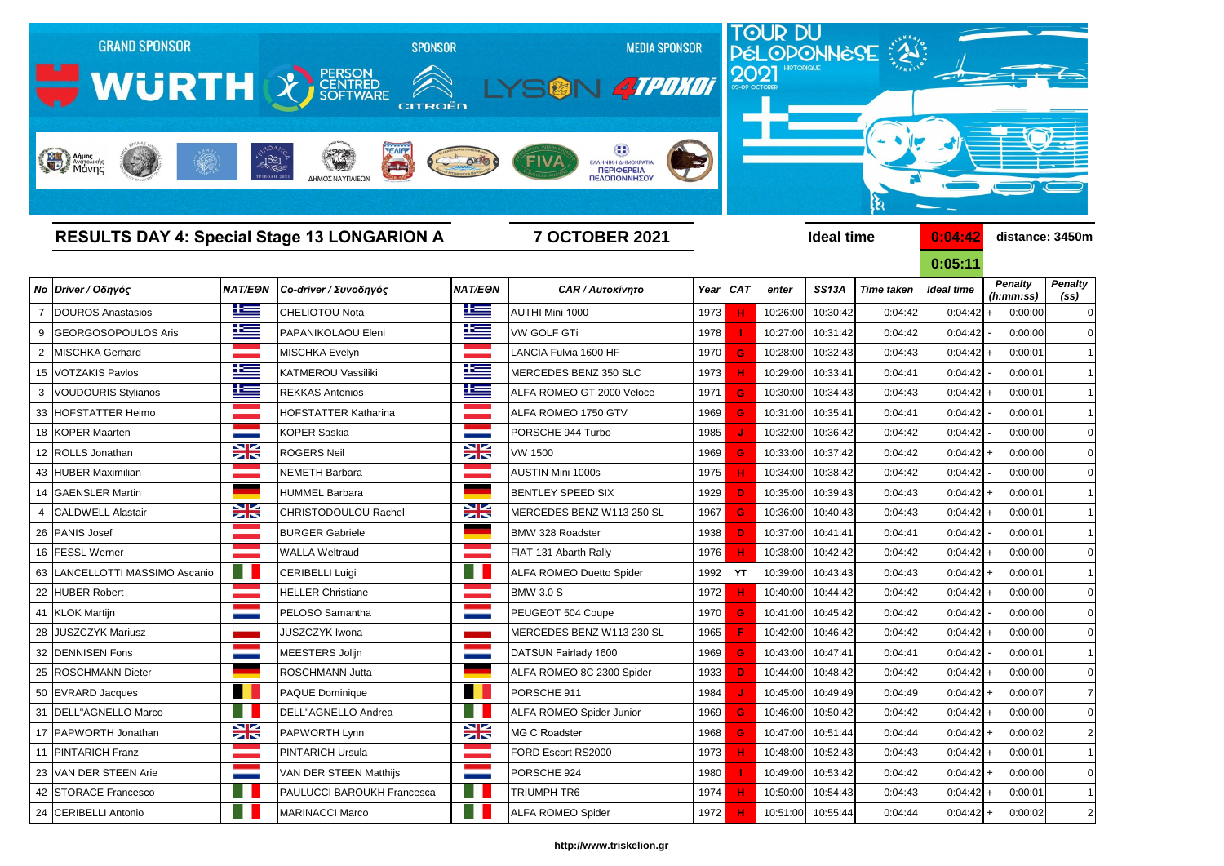

**0:05:11**

## *Νο Driver / Οδηγός NAT/EΘΝ Co-driver / Συνοδηγός NAT/EΘΝ CAR / Αυτοκίνητο Year CAT enter SS13Α Time taken Ideal time* 7 DOUROS Anastasios CHELIOTOU Nota AUTHI Mini 1000 1973 **H** 10:26:00 10:30:42 0:04:42 0:04:42 + 0:00:00 0 9 GEORGOSOPOULOS Aris **PAPANIKOLAOU Eleni** PAPANIKOLAOU Eleni **INSENSIMA ARIS ARIS 1978 | 1978 | 10:27:00** 10:31:42 0:04:42 2 MISCHKA Gerhard MISCHKA Evelyn LANCIA Fulvia 1600 HF 1970 **G** 10:28:00 10:32:43 0:04:43 0:04:42 + 0:00:01 1 15 VOTZAKIS Pavlos KATMEROU Vassiliki MERCEDES BENZ 350 SLC 1973 **H** 10:29:00 10:33:41 0:04:41 0:04:42 - 0:00:01 1 3 VOUDOURIS Stylianos **REGIST ALFA ROMEO GT 2000 Veloce** 1971 **G** 10:30:00 10:34:43 0:04:43 33 HOFSTATTER Heimo HOFSTATTER Katharina ALFA ROMEO 1750 GTV 1969 **G** 10:31:00 10:35:41 0:04:41 0:04:42 - 0:00:01 1 18 KOPER Maarten KOPER Saskia PORSCHE 944 Turbo 1985 <mark> J </mark> 10:32:00 10:36:42 0:04:42 0:04:42 0:04:42 0:00:00 0 12 ROLLS Jonathan ROGERS Neil VW 1500 1969 **G** 10:33:00 10:37:42 0:04:42 0:04:42 + 0:00:00 0 43 HUBER Maximilian NEMETH Barbara AUSTIN Mini 1000s 1975 **H** 10:34:00 10:38:42 0:04:42 0:04:42 - 0:00:00 0 14 GAENSLER Martin HUMMEL Barbara BENTLEY SPEED SIX | 1929 <mark> D </mark> 10:35:00 10:39:43 0:04:43 0:04:42 + | 0:00:01 1 4 CALDWELL Alastair **CHRISTODOULOU Rachel MERCEDES BENZ W113 250 SL** 1967 **G** 10:36:00 10:40:43 0:04:43 26 PANIS Josef BURGER Gabriele BMW 328 Roadster 1938  **D**  10:37:00 10:41:41 0:04:41 0:04:42 - 0:00:01 1 16 FESSL Werner WALLA Weltraud FIAT 131 Abarth Rally 1976 **H** 10:38:00 10:42:42 0:04:42 0:04:42 + 0:00:00 0 63 LANCELLOTTI MASSIMO Ascanio **CERIBELLI Luigi** ALFA ROMEO Duetto Spider 1992 **YT** 10:39:00 10:43:43 0:04:43 22 HUBER Robert HELLER Christiane BMW 3.0 S 1972 <mark> H </mark> 10:40:00 10:44:42 0:04:42 0:04:42 + 0:00:00 0 41 KLOK Martijn PELOSO Samantha PEUGEOT 504 Coupe 1970 <mark> G </mark> 10:41:00 10:45:42 0:04:42 0:04:42 0:04:42 0:00:00 0 28 JUSZCZYK Mariusz **Juszczyk Iwona MerceDES BENZ W113 230 SL 1965 <b>F |** 10:42:00 | 10:46:42 + 0:04:42 + 0:04:42 32 **DENNISEN Fons MEESTERS Jolijn DATSUN Fairlady 1600 1 1969 1 10:43:00 10:47:41 0:04:41 0:04:42 0:00:01 1** 25 ROSCHMANN Dieter ROSCHMANN Jutta ALFA ROMEO 8C 2300 Spider 1933  **D**  10:44:00 10:48:42 0:04:42 0:04:42 + 0:00:00 0 50 EVRARD Jacques PAQUE Dominique PORSCHE 911 1984  **J**  10:45:00 10:49:49 0:04:49 0:04:42 + 0:00:07 7 31 DELL"AGNELLO Marco **DELL"AGNELLO Andrea** ALFA ROMEO Spider Junior 1969 **G** 10:46:00 10:50:42 0:04:42 17 PAPWORTH Jonathan **PAPWORTH Lynn BALL AND ANG C Roadster** 1968 **G** 10:47:00 10:51:44 0:04:44 0:04:42 + 0:00:02 2 11 PINTARICH Franz PINTARICH Ursula FORD Escort RS2000 1 1973 <mark> H </mark> 10:48:00 10:52:43 0:04:43 0:04:42 + 0:00:01 1 23 VAN DER STEEN Arie VAN DER STEEN Matthijs PORSCHE 924 1980 <mark> </mark>10:49:00 10:53:42 0:04:42 0:04:42 + 0:00:00 0 42 STORACE Francesco PAULUCCI BAROUKH Francesca TRIUMPH TR6 1974 **H** 10:50:00 10:54:43 0:04:43 24 CERIBELLI Antonio MARINACCI Marco ALFA ROMEO Spider 1972 **H** 10:51:00 10:55:44 0:04:44 0:04:42 + 0:00:02 2

| <b>Ideal time</b> |                              | <b>Penalty</b> | <b>Penalty</b>    |  |  |  |
|-------------------|------------------------------|----------------|-------------------|--|--|--|
|                   |                              | (h:mm:ss)      | (s <sub>s</sub> ) |  |  |  |
| 0:04:42           | $\ddot{}$                    | 0:00:00        | 0                 |  |  |  |
| 0:04:42           | -                            | 0:00:00        | 0                 |  |  |  |
| 0:04:42           | $\ddot{}$                    | 0:00:01        | 1                 |  |  |  |
| 0:04:42           | $\qquad \qquad \blacksquare$ | 0:00:01        | 1                 |  |  |  |
| 0:04:42           | $\ddot{}$                    | 0:00:01        | 1                 |  |  |  |
| 0:04:42           |                              | 0:00:01        | 1                 |  |  |  |
| 0:04:42           | $\overline{\phantom{0}}$     | 0:00:00        | 0                 |  |  |  |
| 0:04:42           | $\ddot{}$                    | 0:00:00        | 0                 |  |  |  |
| 0:04:42           | -                            | 0:00:00        | 0                 |  |  |  |
| 0:04:42           | $\ddot{}$                    | 0:00:01        | 1                 |  |  |  |
| 0:04:42           | $\ddot{}$                    | 0:00:01        | 1                 |  |  |  |
| 0:04:42           | $\overline{\phantom{0}}$     | 0:00:01        | 1                 |  |  |  |
| 0:04:42           | $\ddot{}$                    | 0:00:00        | 0                 |  |  |  |
| 0:04:42           | $\ddot{}$                    | 0:00:01        | 1                 |  |  |  |
| 0:04:42           | $\ddot{}$                    | 0:00:00        | 0                 |  |  |  |
| 0:04:42           | $\overline{\phantom{0}}$     | 0:00:00        | 0                 |  |  |  |
| 0:04:42           | $\ddot{}$                    | 0:00:00        | 0                 |  |  |  |
| 0:04:42           | $\overline{\phantom{0}}$     | 0:00:01        | 1                 |  |  |  |
| 0:04:42           | ┿                            | 0:00:00        | 0                 |  |  |  |
| 0:04:42           | $\ddot{}$                    | 0:00:07        | 7                 |  |  |  |
| 0:04:42           | +                            | 0:00:00        | 0                 |  |  |  |
| 0:04:42           | $\ddot{}$                    | 0:00:02        | 2                 |  |  |  |
| 0:04:42           | $\ddot{}$                    | 0:00:01        | 1                 |  |  |  |
| 0:04:42           | $\ddot{}$                    | 0:00:00        | 0                 |  |  |  |
| 0:04:42           | +                            | 0:00:01        | 1                 |  |  |  |
| 0:04:42           | $\ddag$                      | 0:00:02        | $\overline{c}$    |  |  |  |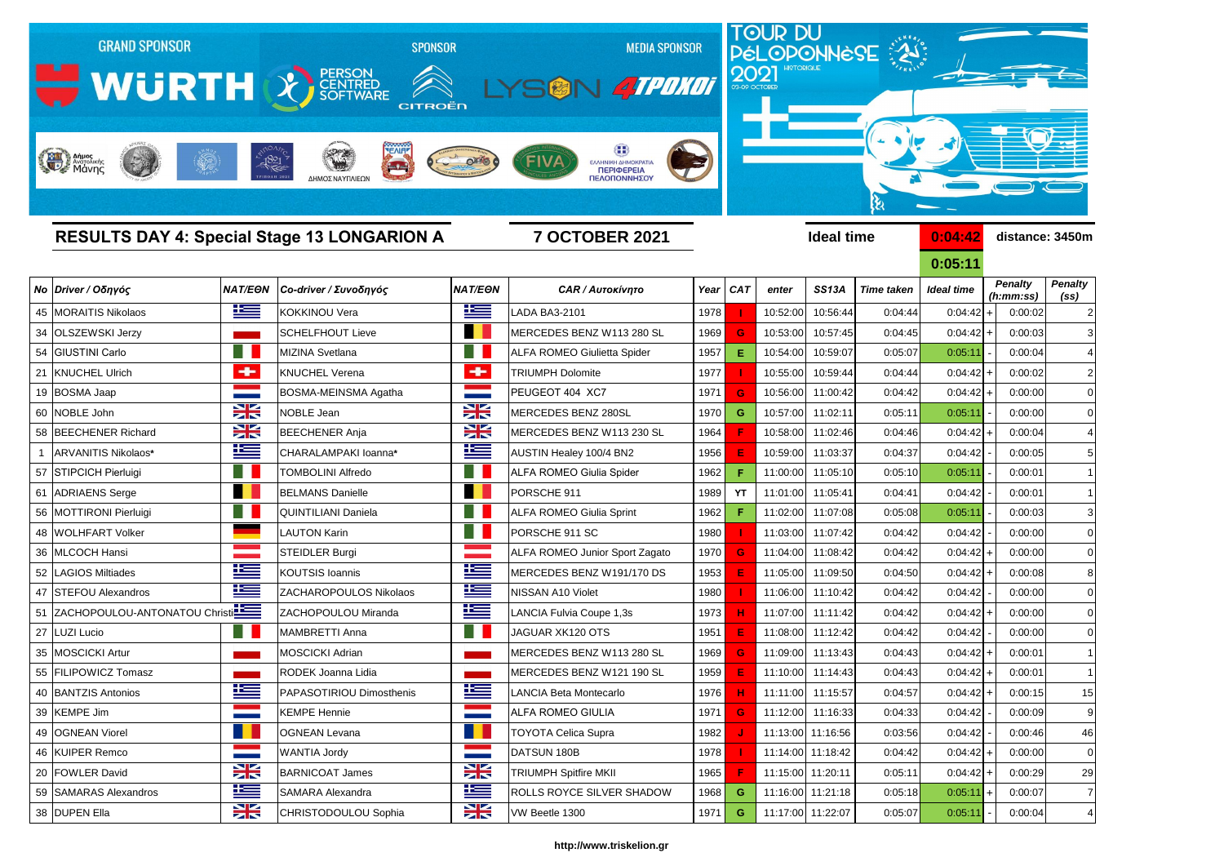

## *Νο Driver / Οδηγός NAT/EΘΝ Co-driver / Συνοδηγός NAT/EΘΝ CAR / Αυτοκίνητο Year CAT enter SS13Α Time taken Ideal time* 45 MORAITIS Nikolaos KOKKINOU Vera LADA BA3-2101 1978  **I**  10:52:00 10:56:44 0:04:44 0:04:42 + 0:00:02 2 34 OLSZEWSKI Jerzy **MERCEDES BENZ W113 280 SL 1969 G** 10:53:00 10:57:45 0:04:45 0:04:42 + 0:00:03 54 GIUSTINI Carlo MIZINA Svetlana ALFA ROMEO Giulietta Spider 1957 **E** 10:54:00 10:59:07 0:05:07 0:05:11 - 0:00:04 21 KNUCHEL Ulrich KNUCHEL Verena TRIUMPH Dolomite 1977  **I**  10:55:00 10:59:44 0:04:44 0:04:42 + 0:00:02 2 19 BOSMA Jaap BOSMA-MEINSMA Agatha PEUGEOT 404 XC7 1971 <mark> G </mark> 10:56:00 11:00:42 0:04:42 0:04:42 + 0:00:00 0 60 NOBLE John NOBLE Jean MERCEDES BENZ 280SL 1970 **G** 10:57:00 11:02:11 0:05:11 0:05:11 - 0:00:00 0 58 BEECHENER Richard **BEECHENER Anja** BEECHENER Anja MERCEDES BENZ W113 230 SL 1964 **F** 10:58:00 11:02:46 0:04:46 0:04:42 + 0:00:04 1 ARVANITIS Nikolaos**\*** CHARALAMPAKI Ioanna**\*** AUSTIN Healey 100/4 BN2 1956 **E** 10:59:00 11:03:37 0:04:37 0:04:42 - 0:00:05 5 57 STIPCICH Pierluigi TOMBOLINI Alfredo ALFA ROMEO Giulia Spider 1962  **F**  11:00:00 11:05:10 0:05:10 0:05:11 - 0:00:01 1 61 ADRIAENS Serge BELMANS Danielle PORSCHE 911 1989 YT 11:01:00 11:05:41 0:04:41 0:04:42 - 0:00:01 1 56 |MOTTIRONI Pierluigi | **| QUINTILIANI Daniela | | |** |ALFA ROMEO Giulia Sprint | 1962 | **F** | 11:02:00 | 11:07:08 0:05:08 0:05:11 - | 0:00:03 3 48 WOLHFART Volker LAUTON Karin PORSCHE 911 SC 1980  **I**  11:03:00 11:07:42 0:04:42 0:04:42 - 0:00:00 0 36 |MLCOCH Hansi **STEIDLER Burgi ALFA ROMEO Junior Sport Zagato** | 1970 **G** 11:04:00 11:08:42 0:04:42 0:04:42 + 0:00:00 52 LAGIOS Miltiades **MerceDES BENZ W191/170 DS** 1953 **E** 11:05:00 11:09:50 0:04:50 0:04:42 + 0:00:08 47 STEFOU Alexandros **NISSE ALEXACHAROPOULOS Nikolaos** NISSAN A10 Violet 1980 | 11:06:00 11:10:42 0:04:42 0:04:42 - 0:00:00 51 ZACHOPOULOU-ANTONATOU Christi**na Zachopoulou Miranda** | **Esteriul Lancia Fulvia Coupe 1,3s** | 1973 | **H** 11:07:00 11:11:42 0:04:42 0:04:42 | 0:00:00 0:00:00 27 LUZI Lucio MAMBRETTI Anna JAGUAR XK120 OTS 1951 **E** 11:08:00 11:12:42 0:04:42 0:04:42 - 0:00:00 0 35 MOSCICKI Artur MOSCICKI Adrian MERCEDES BENZ W113 280 SL 1969 **G** 11:09:00 11:13:43 0:04:43 0:04:42 + 0:00:01 1 55 FILIPOWICZ Tomasz RODEK Joanna Lidia MERCEDES BENZ W121 190 SL 1959 **E** 11:10:00 11:14:43 0:04:43 0:04:42 + 0:00:01 1 40 BANTZIS Antonios PAPASOTIRIOU Dimosthenis LANCIA Beta Montecarlo 1976 **H** 11:11:00 11:15:57 0:04:57 0:04:42 + 0:00:15 15 39 KEMPE Jim KEMPE Hennie 1971 <mark> G </mark> 11:12:00 11:16:33 0:04:33 0:04:42 - | 0:00:09 9 49 OGNEAN Viorel OGNEAN Levana TOYOTA Celica Supra 1982  **J**  11:13:00 11:16:56 0:03:56 0:04:42 - 0:00:46 46 46 KUIPER Remco WANTIA Jordy DATSUN 180B 1978  **I**  11:14:00 11:18:42 0:04:42 0:04:42 + 0:00:00 0 20 FOWLER David BARNICOAT James TRIUMPH Spitfire MKII 1965 <mark> F </mark> 11:15:00 11:20:11 0:05:11 0:04:42 + 0:00:29 29 59 SAMARAS Alexandros SAMARA Alexandra **Rolls ROLLS ROYCE SILVER SHADOW** 1968 **G** 11:16:00 11:21:18 0:05:18 0:05:11 + 0:00:07 7

**0:05:11** *Penalty (ss) Penalty (h:mm:ss)*

38 DUPEN Ella **CHRISTODOULOU Sophia** VW Beetle 1300 11:22:07 **G** 11:17:00 11:22:07 0:05:07 0:05:11 - 0:00:04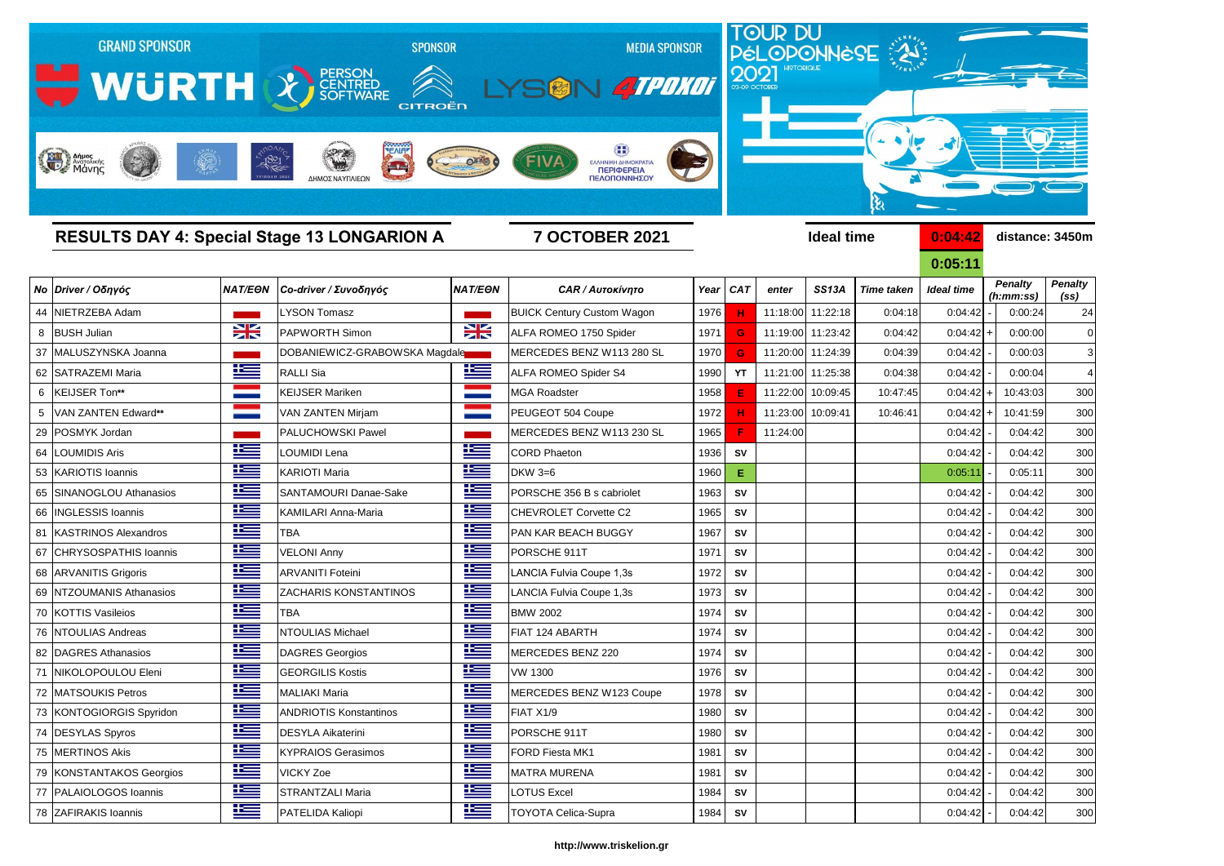

## **RESULTS DAY 4: Special Stage 13 LONGARION Α 7 OCTOBER 2021 Ideal time 0:04:42 distance: 3450m**

**0:05:11**

|    | Νο Driver / Οδηγός       |               | NAT/EΘN   Co-driver / Συνοδηγός | <b>NAT/EON</b> | <b>CAR / Αυτοκίνητο</b>           | Year | <b>CAT</b> | enter    | <b>SS13A</b>      | <b>Time taken</b> | <b>Ideal time</b> |  | <b>Penalty</b><br>(h:mm:ss) | <b>Penalty</b><br>(s <sub>s</sub> ) |
|----|--------------------------|---------------|---------------------------------|----------------|-----------------------------------|------|------------|----------|-------------------|-------------------|-------------------|--|-----------------------------|-------------------------------------|
|    | 44 NIETRZEBA Adam        |               | <b>LYSON Tomasz</b>             |                | <b>BUICK Century Custom Wagon</b> | 1976 |            |          | 11:18:00 11:22:18 | 0:04:18           | 0:04:42           |  | 0:00:24                     | 24                                  |
| 8  | <b>BUSH Julian</b>       | $\frac{1}{2}$ | <b>PAPWORTH Simon</b>           | ₩              | ALFA ROMEO 1750 Spider            | 1971 | G          | 11:19:00 | 11:23:42          | 0:04:42           | 0:04:42           |  | 0:00:00                     | $\overline{O}$                      |
|    | 37 MALUSZYNSKA Joanna    |               | DOBANIEWICZ-GRABOWSKA Magdale   |                | MERCEDES BENZ W113 280 SL         | 1970 | G          |          | 11:20:00 11:24:39 | 0:04:39           | 0:04:42           |  | 0:00:03                     | 3                                   |
|    | 62 SATRAZEMI Maria       | 些             | RALLI Sia                       | <u>ik –</u>    | <b>ALFA ROMEO Spider S4</b>       | 1990 | YT         |          | 11:21:00 11:25:38 | 0:04:38           | 0:04:42           |  | 0:00:04                     | $\overline{4}$                      |
| 6  | KEIJSER Ton**            |               | <b>KEIJSER Mariken</b>          |                | <b>MGA Roadster</b>               | 1958 |            | 11:22:00 | 10:09:45          | 10:47:45          | $0:04:42$ +       |  | 10:43:03                    | 300                                 |
| 5  | VAN ZANTEN Edward**      |               | <b>VAN ZANTEN Mirjam</b>        |                | PEUGEOT 504 Coupe                 | 1972 |            | 11:23:00 | 10:09:41          | 10:46:41          | $0:04:42$ +       |  | 10:41:59                    | 300                                 |
| 29 | POSMYK Jordan            |               | <b>PALUCHOWSKI Pawel</b>        |                | MERCEDES BENZ W113 230 SL         | 1965 |            | 11:24:00 |                   |                   | 0:04:42           |  | 0:04:42                     | 300                                 |
|    | 64 LOUMIDIS Aris         | <u>ik a</u>   | LOUMIDI Lena                    | 些              | <b>CORD Phaeton</b>               | 1936 | <b>SV</b>  |          |                   |                   | 0:04:42           |  | 0:04:42                     | 300                                 |
|    | 53 KARIOTIS Ioannis      | 坚             | <b>KARIOTI Maria</b>            | <u> اکت</u>    | $DKW$ 3=6                         | 1960 | E.         |          |                   |                   | 0:05:1'           |  | 0:05:11                     | 300                                 |
|    | 65 SINANOGLOU Athanasios | <u>ik s</u>   | <b>SANTAMOURI Danae-Sake</b>    | <u> Kana</u>   | PORSCHE 356 B s cabriolet         | 1963 | <b>SV</b>  |          |                   |                   | 0:04:42           |  | 0:04:42                     | 300                                 |
|    | 66   INGLESSIS Ioannis   | <u> اکتا</u>  | <b>KAMILARI Anna-Maria</b>      | Ħ              | <b>CHEVROLET Corvette C2</b>      | 1965 | <b>SV</b>  |          |                   |                   | 0:04:42           |  | 0:04:42                     | 300                                 |
|    | 81 KASTRINOS Alexandros  | <u>ik –</u>   | TBA                             | <u> اکتا</u>   | <b>PAN KAR BEACH BUGGY</b>        | 1967 | <b>SV</b>  |          |                   |                   | 0:04:42           |  | 0:04:42                     | 300                                 |
| 67 | CHRYSOSPATHIS Ioannis    | ٢             | <b>VELONI Anny</b>              | <u> اکتا</u>   | PORSCHE 911T                      | 1971 | <b>SV</b>  |          |                   |                   | 0:04:42           |  | 0:04:42                     | 300                                 |
|    | 68 ARVANITIS Grigoris    | <u>ik a</u>   | <b>ARVANITI Foteini</b>         | <u>ik se</u>   | LANCIA Fulvia Coupe 1,3s          | 1972 | <b>SV</b>  |          |                   |                   | 0:04:42           |  | 0:04:42                     | 300                                 |
| 69 | NTZOUMANIS Athanasios    | <u>ik s</u>   | <b>ZACHARIS KONSTANTINOS</b>    | ١œ             | LANCIA Fulvia Coupe 1,3s          | 1973 | <b>SV</b>  |          |                   |                   | 0:04:42           |  | 0:04:42                     | 300                                 |
|    | 70 KOTTIS Vasileios      | <u>k </u>     | <b>TBA</b>                      | <u>ik –</u>    | <b>BMW 2002</b>                   | 1974 | <b>SV</b>  |          |                   |                   | 0:04:42           |  | 0:04:42                     | 300                                 |
|    | 76 NTOULIAS Andreas      | Ł             | <b>NTOULIAS Michael</b>         | ٢              | FIAT 124 ABARTH                   | 1974 | <b>SV</b>  |          |                   |                   | 0:04:42           |  | 0:04:42                     | 300                                 |
|    | 82   DAGRES Athanasios   | 些             | DAGRES Georgios                 | <u>ies</u>     | MERCEDES BENZ 220                 | 1974 | <b>SV</b>  |          |                   |                   | 0:04:42           |  | 0:04:42                     | 300                                 |
|    | 71 NIKOLOPOULOU Eleni    | <u> اکتا</u>  | <b>GEORGILIS Kostis</b>         | <u>ik s</u>    | <b>VW 1300</b>                    | 1976 | <b>SV</b>  |          |                   |                   | 0:04:42           |  | 0:04:42                     | 300                                 |
|    | 72   MATSOUKIS Petros    | <u>K </u>     | <b>MALIAKI Maria</b>            | 些              | MERCEDES BENZ W123 Coupe          | 1978 | <b>SV</b>  |          |                   |                   | 0:04:42           |  | 0:04:42                     | 300                                 |
|    | 73 KONTOGIORGIS Spyridon | <u> اکتا</u>  | <b>ANDRIOTIS Konstantinos</b>   | 些              | FIAT X1/9                         | 1980 | <b>SV</b>  |          |                   |                   | 0:04:42           |  | 0:04:42                     | 300                                 |
|    | 74 DESYLAS Spyros        | <u>is </u>    | <b>DESYLA Aikaterini</b>        | <u>is </u>     | PORSCHE 911T                      | 1980 | SV         |          |                   |                   | 0:04:42           |  | 0:04:42                     | 300                                 |
|    | 75 MERTINOS Akis         | <u>ik –</u>   | <b>KYPRAIOS Gerasimos</b>       | Ħ              | FORD Fiesta MK1                   | 1981 | <b>SV</b>  |          |                   |                   | 0:04:42           |  | 0:04:42                     | 300                                 |
|    | 79 KONSTANTAKOS Georgios | <u>ks</u>     | <b>VICKY Zoe</b>                | <u>is –</u>    | <b>MATRA MURENA</b>               | 1981 | <b>SV</b>  |          |                   |                   | 0:04:42           |  | 0:04:42                     | 300                                 |
|    | 77 PALAIOLOGOS Ioannis   | <u>ik –</u>   | <b>STRANTZALI Maria</b>         | <u>is –</u>    | LOTUS Excel                       | 1984 | <b>SV</b>  |          |                   |                   | 0:04:42           |  | 0:04:42                     | 300                                 |
|    | 78 ZAFIRAKIS Ioannis     | <u>ik –</u>   | PATELIDA Kaliopi                | 些              | <b>TOYOTA Celica-Supra</b>        | 1984 | SV         |          |                   |                   | 0:04:42           |  | 0:04:42                     | 300                                 |